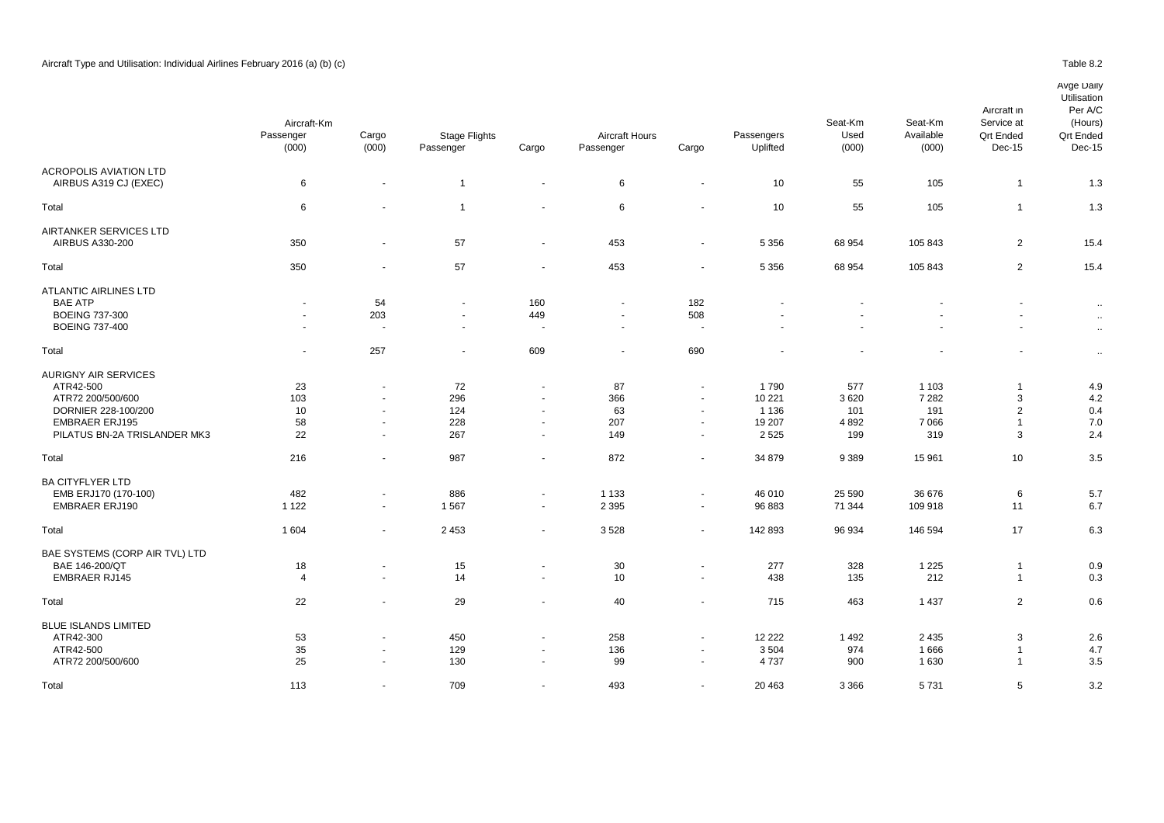|                                                                                                                                               | Aircraft-Km<br>Passenger<br>(000) | Cargo<br>(000)                                                                 | <b>Stage Flights</b><br>Passenger | Cargo                                                                          | <b>Aircraft Hours</b><br>Passenger         | Cargo                                                                              | Passengers<br>Uplifted                         | Seat-Km<br>Used<br>(000)          | Seat-Km<br>Available<br>(000)               | Aircraft in<br>Service at<br><b>Qrt Ended</b><br>Dec-15 | Per A/C<br>(Hours)<br><b>Qrt Ended</b><br>Dec-15 |
|-----------------------------------------------------------------------------------------------------------------------------------------------|-----------------------------------|--------------------------------------------------------------------------------|-----------------------------------|--------------------------------------------------------------------------------|--------------------------------------------|------------------------------------------------------------------------------------|------------------------------------------------|-----------------------------------|---------------------------------------------|---------------------------------------------------------|--------------------------------------------------|
| <b>ACROPOLIS AVIATION LTD</b><br>AIRBUS A319 CJ (EXEC)                                                                                        | 6                                 | $\sim$                                                                         | $\overline{1}$                    | $\blacksquare$                                                                 | 6                                          | $\sim$                                                                             | 10                                             | 55                                | 105                                         | $\overline{1}$                                          | 1.3                                              |
| Total                                                                                                                                         | 6                                 |                                                                                | $\overline{1}$                    | $\ddot{\phantom{1}}$                                                           | 6                                          |                                                                                    | 10                                             | 55                                | 105                                         | $\overline{1}$                                          | 1.3                                              |
| AIRTANKER SERVICES LTD<br>AIRBUS A330-200                                                                                                     | 350                               | $\blacksquare$                                                                 | 57                                | $\blacksquare$                                                                 | 453                                        | $\overline{\phantom{a}}$                                                           | 5 3 5 6                                        | 68 954                            | 105 843                                     | $\overline{2}$                                          | 15.4                                             |
| Total                                                                                                                                         | 350                               | $\blacksquare$                                                                 | 57                                | $\sim$                                                                         | 453                                        | $\overline{\phantom{a}}$                                                           | 5 3 5 6                                        | 68 954                            | 105 843                                     | 2                                                       | 15.4                                             |
| <b>ATLANTIC AIRLINES LTD</b><br><b>BAE ATP</b><br><b>BOEING 737-300</b><br><b>BOEING 737-400</b>                                              | $\sim$<br>$\sim$<br>$\sim$        | 54<br>203<br>٠.                                                                | $\sim$<br>$\overline{a}$          | 160<br>449<br>$\overline{\phantom{a}}$                                         | $\blacksquare$<br>$\blacksquare$<br>$\sim$ | 182<br>508<br>$\sim$                                                               | $\sim$                                         |                                   |                                             | ٠<br>٠<br>÷.                                            | $\sim$<br>$\sim$<br>$\sim$                       |
| Total                                                                                                                                         | $\sim$                            | 257                                                                            | $\overline{\phantom{a}}$          | 609                                                                            | $\blacksquare$                             | 690                                                                                |                                                |                                   |                                             | $\blacksquare$                                          | $\sim$                                           |
| <b>AURIGNY AIR SERVICES</b><br>ATR42-500<br>ATR72 200/500/600<br>DORNIER 228-100/200<br><b>EMBRAER ERJ195</b><br>PILATUS BN-2A TRISLANDER MK3 | 23<br>103<br>10<br>58<br>22       | $\blacksquare$<br>$\blacksquare$<br>$\blacksquare$<br>$\sim$<br>$\blacksquare$ | 72<br>296<br>124<br>228<br>267    | $\blacksquare$<br>$\blacksquare$<br>$\sim$<br>$\blacksquare$<br>$\blacksquare$ | 87<br>366<br>63<br>207<br>149              | $\sim$<br>$\sim$<br>$\overline{\phantom{a}}$<br>$\sim$<br>$\overline{\phantom{a}}$ | 1790<br>10 221<br>1 1 3 6<br>19 207<br>2 5 2 5 | 577<br>3620<br>101<br>4892<br>199 | 1 1 0 3<br>7 2 8 2<br>191<br>7 0 6 6<br>319 | -1<br>3<br>$\overline{2}$<br>-1<br>3                    | 4.9<br>4.2<br>0.4<br>7.0<br>2.4                  |
| Total                                                                                                                                         | 216                               | $\blacksquare$                                                                 | 987                               | $\blacksquare$                                                                 | 872                                        | $\sim$                                                                             | 34 879                                         | 9 3 8 9                           | 15 961                                      | 10                                                      | 3.5                                              |
| <b>BA CITYFLYER LTD</b><br>EMB ERJ170 (170-100)<br><b>EMBRAER ERJ190</b>                                                                      | 482<br>1 1 2 2                    | $\overline{a}$<br>$\sim$                                                       | 886<br>1567                       | $\overline{\phantom{a}}$<br>$\blacksquare$                                     | 1 1 3 3<br>2 3 9 5                         | $\sim$<br>$\blacksquare$                                                           | 46 010<br>96 883                               | 25 590<br>71 344                  | 36 676<br>109 918                           | 6<br>11                                                 | 5.7<br>6.7                                       |
| Total                                                                                                                                         | 1 604                             | $\blacksquare$                                                                 | 2453                              | $\blacksquare$                                                                 | 3528                                       | $\sim$                                                                             | 142 893                                        | 96 934                            | 146 594                                     | 17                                                      | 6.3                                              |
| BAE SYSTEMS (CORP AIR TVL) LTD<br>BAE 146-200/QT<br><b>EMBRAER RJ145</b>                                                                      | 18<br>$\overline{4}$              | $\blacksquare$<br>$\blacksquare$                                               | 15<br>14                          | $\blacksquare$<br>$\sim$                                                       | 30<br>10                                   | $\sim$<br>$\sim$                                                                   | 277<br>438                                     | 328<br>135                        | 1 2 2 5<br>212                              | -1<br>$\overline{1}$                                    | 0.9<br>0.3                                       |
| Total                                                                                                                                         | 22                                | $\overline{\phantom{a}}$                                                       | 29                                | $\blacksquare$                                                                 | 40                                         | $\sim$                                                                             | 715                                            | 463                               | 1 4 3 7                                     | 2                                                       | 0.6                                              |
| <b>BLUE ISLANDS LIMITED</b><br>ATR42-300<br>ATR42-500<br>ATR72 200/500/600                                                                    | 53<br>35<br>25                    | $\blacksquare$<br>$\overline{a}$                                               | 450<br>129<br>130                 | $\sim$<br>$\sim$                                                               | 258<br>136<br>99                           | $\overline{a}$                                                                     | 12 2 2 2<br>3504<br>4737                       | 1 4 9 2<br>974<br>900             | 2 4 3 5<br>1666<br>1 6 3 0                  | 3<br>-1<br>$\overline{1}$                               | 2.6<br>4.7<br>3.5                                |

Total 113 - 709 - 493 - 20 463 3 366 5 731 - 5 3.2 كـ 113 - 20 463 3 366 5 731 - 5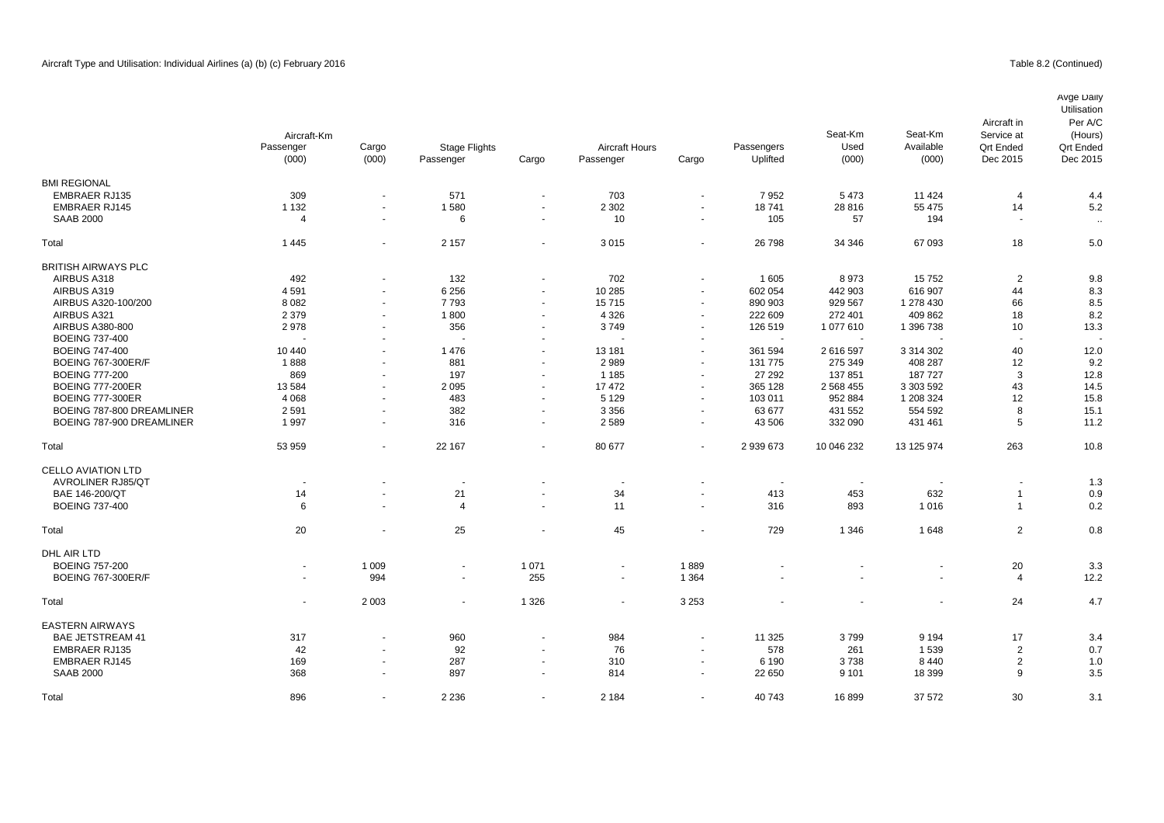|                            | Aircraft-Km              |                          |                          |                |                          |                          |            | Seat-Km     | Seat-Km        | Aircraft in<br>Service at | Avge Daily<br>Utilisation<br>Per A/C<br>(Hours) |
|----------------------------|--------------------------|--------------------------|--------------------------|----------------|--------------------------|--------------------------|------------|-------------|----------------|---------------------------|-------------------------------------------------|
|                            | Passenger                | Cargo                    | <b>Stage Flights</b>     |                | <b>Aircraft Hours</b>    |                          | Passengers | Used        | Available      | <b>Qrt Ended</b>          | <b>Qrt Ended</b>                                |
|                            | (000)                    | (000)                    | Passenger                | Cargo          | Passenger                | Cargo                    | Uplifted   | (000)       | (000)          | Dec 2015                  | Dec 2015                                        |
| <b>BMI REGIONAL</b>        |                          |                          |                          |                |                          |                          |            |             |                |                           |                                                 |
| <b>EMBRAER RJ135</b>       | 309                      | ä,                       | 571                      | $\sim$         | 703                      | $\sim$                   | 7952       | 5473        | 11 4 24        | 4                         | 4.4                                             |
| <b>EMBRAER RJ145</b>       | 1 1 3 2                  | $\blacksquare$           | 1580                     | $\sim$         | 2 3 0 2                  | $\sim$                   | 18741      | 28 8 16     | 55 475         | 14                        | 5.2                                             |
| <b>SAAB 2000</b>           | $\overline{4}$           | $\blacksquare$           | 6                        | $\sim$         | 10                       | $\blacksquare$           | 105        | 57          | 194            | $\sim$                    | $\sim$                                          |
| Total                      | 1 4 4 5                  | ä,                       | 2 1 5 7                  | $\sim$         | 3015                     | $\blacksquare$           | 26 798     | 34 346      | 67 093         | 18                        | 5.0                                             |
| <b>BRITISH AIRWAYS PLC</b> |                          |                          |                          |                |                          |                          |            |             |                |                           |                                                 |
| AIRBUS A318                | 492                      | $\blacksquare$           | 132                      | $\sim$         | 702                      | $\blacksquare$           | 1 605      | 8973        | 15752          | 2                         | 9.8                                             |
| AIRBUS A319                | 4591                     | $\blacksquare$           | 6 2 5 6                  | $\sim$         | 10 285                   | $\blacksquare$           | 602 054    | 442 903     | 616 907        | 44                        | 8.3                                             |
| AIRBUS A320-100/200        | 8 0 8 2                  | $\blacksquare$           | 7793                     | $\sim$         | 15715                    | $\blacksquare$           | 890 903    | 929 567     | 1 278 430      | 66                        | 8.5                                             |
| AIRBUS A321                | 2 3 7 9                  | $\blacksquare$           | 1800                     | $\sim$         | 4 3 2 6                  | $\sim$                   | 222 609    | 272 401     | 409 862        | 18                        | 8.2                                             |
| AIRBUS A380-800            | 2978                     | $\blacksquare$           | 356                      | $\sim$         | 3749                     | $\blacksquare$           | 126 519    | 1077610     | 1 396 738      | 10                        | 13.3                                            |
| <b>BOEING 737-400</b>      |                          |                          |                          |                |                          | $\overline{\phantom{a}}$ |            |             |                |                           |                                                 |
| <b>BOEING 747-400</b>      | 10 440                   | $\blacksquare$           | 1476                     | $\sim$         | 13 181                   | $\sim$                   | 361 594    | 2616597     | 3 314 302      | 40                        | 12.0                                            |
| <b>BOEING 767-300ER/F</b>  | 1888                     | $\blacksquare$           | 881                      | $\sim$         | 2989                     | $\blacksquare$           | 131 775    | 275 349     | 408 287        | 12                        | 9.2                                             |
| <b>BOEING 777-200</b>      | 869                      | $\blacksquare$           | 197                      | $\sim$         | 1 1 8 5                  | $\overline{\phantom{a}}$ | 27 29 2    | 137851      | 187 727        | 3                         | 12.8                                            |
| <b>BOEING 777-200ER</b>    | 13 5 84                  | $\overline{\phantom{a}}$ | 2 0 9 5                  | $\overline{a}$ | 17472                    | $\blacksquare$           | 365 128    | 2 5 68 4 55 | 3 303 592      | 43                        | 14.5                                            |
| <b>BOEING 777-300ER</b>    | 4 0 6 8                  | $\ddot{\phantom{1}}$     | 483                      | $\sim$         | 5 1 2 9                  | $\blacksquare$           | 103 011    | 952 884     | 1 208 324      | 12                        | 15.8                                            |
| BOEING 787-800 DREAMLINER  | 2591                     | $\overline{\phantom{a}}$ | 382                      | $\sim$         | 3 3 5 6                  | $\sim$                   | 63 677     | 431 552     | 554 592        | 8                         | 15.1                                            |
| BOEING 787-900 DREAMLINER  | 1997                     | $\overline{\phantom{a}}$ | 316                      | $\sim$         | 2589                     | $\sim$                   | 43 506     | 332 090     | 431 461        | 5                         | 11.2                                            |
| Total                      | 53 959                   | $\blacksquare$           | 22 167                   | $\sim$         | 80 677                   | $\blacksquare$           | 2 939 673  | 10 046 232  | 13 125 974     | 263                       | 10.8                                            |
| <b>CELLO AVIATION LTD</b>  |                          |                          |                          |                |                          |                          |            |             |                |                           |                                                 |
| <b>AVROLINER RJ85/QT</b>   | $\overline{\phantom{a}}$ | $\overline{a}$           | $\overline{\phantom{a}}$ |                | $\overline{\phantom{a}}$ | $\blacksquare$           |            | $\sim$      | $\blacksquare$ |                           | 1.3                                             |
| BAE 146-200/QT             | 14                       | ä,                       | 21                       | $\sim$         | 34                       | $\blacksquare$           | 413        | 453         | 632            | $\overline{1}$            | 0.9                                             |
| <b>BOEING 737-400</b>      | 6                        | $\overline{a}$           | $\overline{4}$           | $\sim$         | 11                       | $\blacksquare$           | 316        | 893         | 1016           | $\overline{1}$            | 0.2                                             |
| Total                      | 20                       | $\blacksquare$           | 25                       |                | 45                       | $\blacksquare$           | 729        | 1 3 4 6     | 1648           | $\overline{2}$            | 0.8                                             |
| DHL AIR LTD                |                          |                          |                          |                |                          |                          |            |             |                |                           |                                                 |
| <b>BOEING 757-200</b>      |                          | 1 0 0 9                  | $\overline{\phantom{a}}$ | 1 0 7 1        | $\frac{1}{2}$            | 1889                     |            |             |                | 20                        | 3.3                                             |
| <b>BOEING 767-300ER/F</b>  | $\sim$                   | 994                      | $\blacksquare$           | 255            | $\blacksquare$           | 1 3 6 4                  |            |             |                | $\overline{4}$            | 12.2                                            |
| Total                      | $\sim$                   | 2 0 0 3                  | $\blacksquare$           | 1 3 2 6        | $\blacksquare$           | 3 2 5 3                  |            |             |                | 24                        | 4.7                                             |
| <b>EASTERN AIRWAYS</b>     |                          |                          |                          |                |                          |                          |            |             |                |                           |                                                 |
| <b>BAE JETSTREAM 41</b>    | 317                      | $\blacksquare$           | 960                      |                | 984                      | $\blacksquare$           | 11 3 25    | 3799        | 9 1 9 4        | 17                        | 3.4                                             |
| <b>EMBRAER RJ135</b>       | 42                       | $\sim$                   | 92                       | $\sim$         | 76                       | $\blacksquare$           | 578        | 261         | 1539           | $\overline{2}$            | 0.7                                             |
| <b>EMBRAER RJ145</b>       | 169                      |                          | 287                      |                | 310                      | $\overline{\phantom{a}}$ | 6 1 9 0    | 3738        | 8440           | $\overline{2}$            | 1.0                                             |
| <b>SAAB 2000</b>           | 368                      | $\overline{\phantom{a}}$ | 897                      | $\sim$         | 814                      | $\blacksquare$           | 22 650     | 9 1 0 1     | 18 399         | 9                         | 3.5                                             |
|                            |                          |                          |                          |                |                          |                          |            |             |                |                           |                                                 |

Total 896 - 2 236 - 2 184 - 40 743 16 899 37 572 30 3.1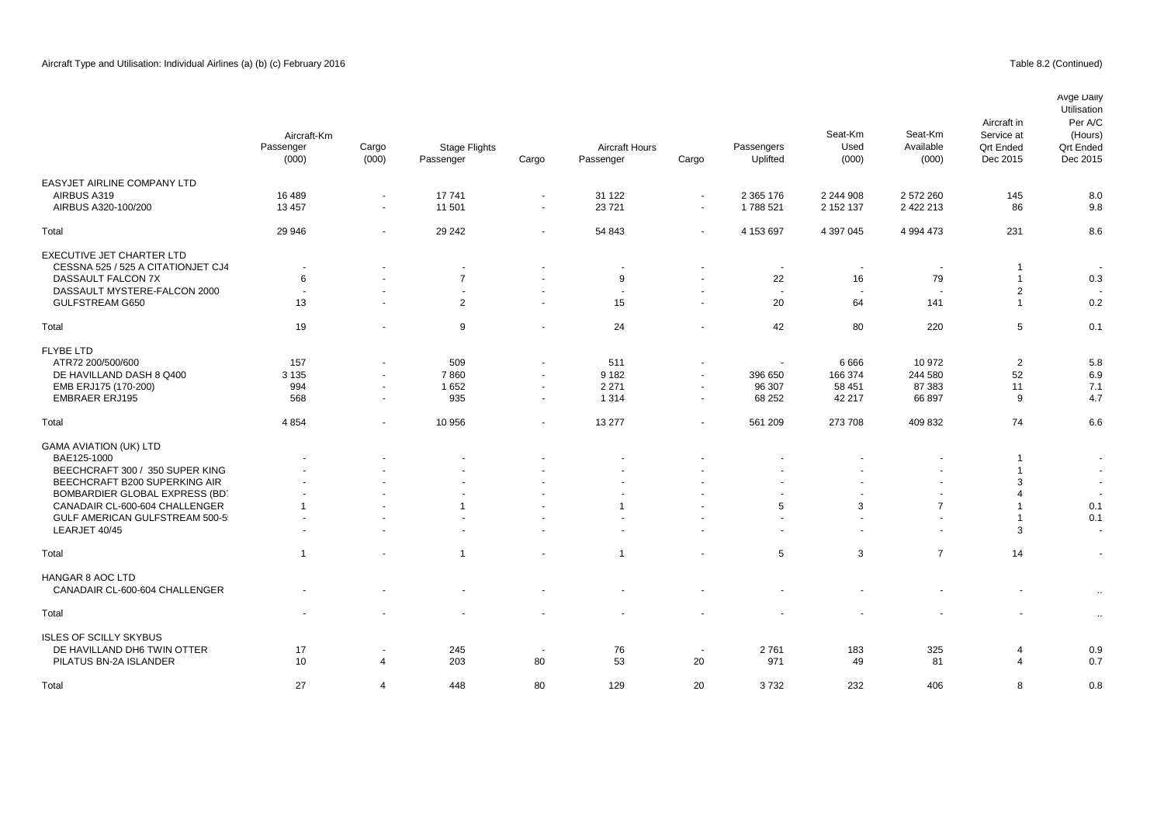EASYJET AIRLINE COMPANY LTD<br>AIRBUS A319

EXECUTIVE JET CHARTER LTD

FLYBE LTD<br>ATR72 200/500/600

GAMA AVIATION (UK) LTD

# Passenger Cargo Passenger Cargo Dec 2015 Dec 2015 0.8 AIRBUS A319 16 489 - 16 489 - 2 31 122 - 2365 176 2 244 908 2 372 260 145 8.0 بي م 16 489 16 489 16 145 16 AIRBUS A320-100/200 13 457 - 11 501 - 23 721 - 1 788 521 2 152 137 2 422 213 86 9.8 Total 29 946 - 29 242 - 54 843 - 4 153 697 4 397 045 4 994 473 231 8.6 CESSNA 525 / 525 A CITATIONJET CJ4 - - - - - - - - - 1 - DASSAULT FALCON 7X 6 - 7 - 9 - 22 16 79 1 0.3 of the set of the set of the set of the set of the set of the set of the set of the set of the set of the set of the set of the set of the set of the set of the set of the set of the set of the set of the set of the set of GULFSTREAM G650 13 - 2 - 15 - 20 64 141 1 0.2 Total 19 - 9 - 24 - 42 80 220 5 0.1 ATR72 200/500/600 157 - 509 - 511 - - 6 666 10 972 2 5.8 00 DE HAVILLAND DASH 8 Q400 3135 - 7 860 - 9182 - 396 650 166 374 244 580 52 6.9<br>1 1 396 650 58 451 87 383 11 7.1 7.1 582 - 2271 - 96 307 58 451 87 383 11 7.1 7.1 EMB ERJ175 (170-200) 994 - 1 652 - 2 271 - 96 307 58 451 87 383 11 EMBRAER ERJ195 568 - 935 - 1 314 - 68 252 42 217 66 897 9 4.7 Total 4 854 - 10 956 - 13 277 - 561 209 273 708 409 832 74 6.6 BAE125-1000 - - - - - - - - - 1 - BEECHCRAFT 300 / 350 SUPER KING AIR - - - - - - - - - 1 eric Beech CRAFT B200 SUPERKING AIR And the state of the state of the state of the state of the state of the state of the state of the state of the state of the state of the state of the state of the state of the state of BOMBARDIER GLOBAL EXPRESS (BD) And the set of the set of the set of the set of the set of the set of the set of the set of the set of the set of the set of the set of the set of the set of the set of the set of the set of CANADAIR CL-600-604 CHALLENGER 1 - 1 1 - 1 1 - 1 1 - 5 3 7 1 0.1 GULF AMERICAN GULFSTREAM 500-5<br>التاريخ المستخدم المستخدم المستخدم المستخدم المستخدم المستخدم المستخدم المستخدم المستخدم المستخدم المستخدم المس<br>التاريخ المستخدم المستخدم المستخدم المستخدم المستخدم المستخدم المستخدم المستخد LEARJET 40/45 - - - - - - - - - 3 - Avge Daily Utilisation Per A/C (Hours) Qrt Ended<br>Dec 2015 Aircraft in Service at Qrt Ended<br>Dec 2015 Aircraft-Km Seat-Km Used (000) Seat-Km Available (000) Passenger (000) Cargo (000) Aircraft Hours Passengers Uplifted Stage Flights

| Total                                                                                  |          | $\sim$                        |                          | $\sim$       |          | $\sim$ $-$   | 5           | 3                        |           | 14     |            |
|----------------------------------------------------------------------------------------|----------|-------------------------------|--------------------------|--------------|----------|--------------|-------------|--------------------------|-----------|--------|------------|
| HANGAR 8 AOC LTD<br>CANADAIR CL-600-604 CHALLENGER                                     |          | $\overline{\phantom{a}}$      | $\overline{\phantom{a}}$ | $\sim$       | $\sim$   | $\sim$       |             | $\overline{\phantom{a}}$ | $\sim$    | $\sim$ |            |
| Total                                                                                  | $\sim$   | $\sim$                        | $\sim$                   | $\sim$       | $\sim$   | $\sim$       | $\sim$      | $\sim$                   | $\sim$    | $\sim$ | $\cdot$    |
| <b>ISLES OF SCILLY SKYBUS</b><br>DE HAVILLAND DH6 TWIN OTTER<br>PILATUS BN-2A ISLANDER | 17<br>10 | $\overline{\phantom{a}}$<br>4 | 245<br>203               | $\sim$<br>80 | 76<br>53 | $\sim$<br>20 | 2761<br>971 | 183<br>49                | 325<br>81 |        | 0.9<br>0.7 |
| Total                                                                                  | 27       | 4                             | 448                      | 80           | 129      | 20           | 3732        | 232                      | 406       |        | 0.8        |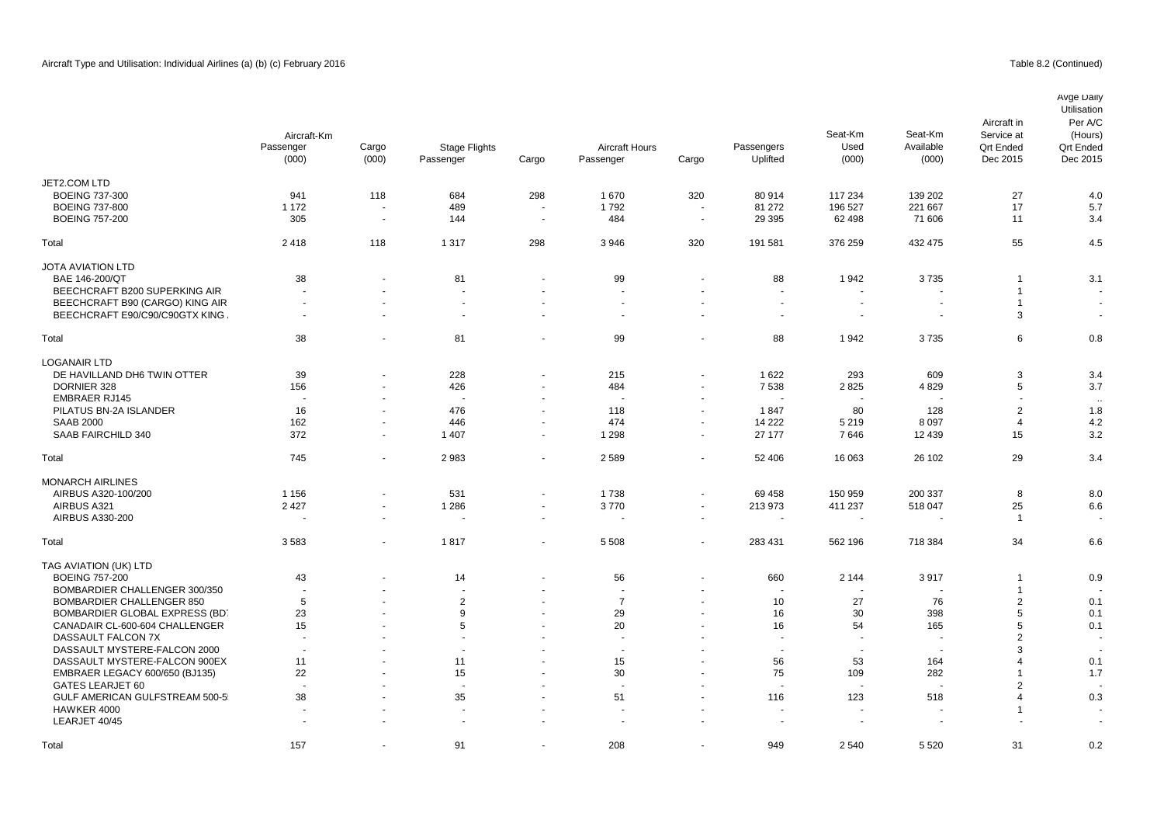# Table 8.2 (Continued)

|                                  | Aircraft-Km<br>Passenger<br>(000) | Cargo<br>(000)           | <b>Stage Flights</b><br>Passenger | Cargo          | <b>Aircraft Hours</b><br>Passenger | Cargo                    | Passengers<br>Uplifted | Seat-Km<br>Used<br>(000) | Seat-Km<br>Available<br>(000) | Aircraft in<br>Service at<br><b>Qrt Ended</b><br>Dec 2015 | Avge Daily<br>Utilisation<br>Per A/C<br>(Hours)<br><b>Qrt Ended</b><br>Dec 2015 |
|----------------------------------|-----------------------------------|--------------------------|-----------------------------------|----------------|------------------------------------|--------------------------|------------------------|--------------------------|-------------------------------|-----------------------------------------------------------|---------------------------------------------------------------------------------|
| JET2.COM LTD                     |                                   |                          |                                   |                |                                    |                          |                        |                          |                               |                                                           |                                                                                 |
| <b>BOEING 737-300</b>            | 941                               | 118                      | 684                               | 298            | 1670                               | 320                      | 80 914                 | 117 234                  | 139 202                       | 27                                                        | 4.0                                                                             |
| <b>BOEING 737-800</b>            | 1 1 7 2                           | $\overline{\phantom{a}}$ | 489                               |                | 1792                               | $\blacksquare$           | 81 27 2                | 196 527                  | 221 667                       | 17                                                        | 5.7                                                                             |
| <b>BOEING 757-200</b>            | 305                               | $\overline{\phantom{a}}$ | 144                               | $\sim$         | 484                                | $\blacksquare$           | 29 3 95                | 62 498                   | 71 606                        | 11                                                        | 3.4                                                                             |
| Total                            | 2418                              | 118                      | 1 3 1 7                           | 298            | 3946                               | 320                      | 191 581                | 376 259                  | 432 475                       | 55                                                        | 4.5                                                                             |
| <b>JOTA AVIATION LTD</b>         |                                   |                          |                                   |                |                                    |                          |                        |                          |                               |                                                           |                                                                                 |
| BAE 146-200/QT                   | 38                                | $\overline{a}$           | 81                                | $\overline{a}$ | 99                                 | $\blacksquare$           | 88                     | 1942                     | 3735                          | $\overline{1}$                                            | 3.1                                                                             |
| BEECHCRAFT B200 SUPERKING AIR    | $\overline{a}$                    |                          | $\overline{a}$                    |                | $\overline{a}$                     |                          |                        | $\overline{\phantom{a}}$ | $\overline{\phantom{a}}$      | $\overline{1}$                                            |                                                                                 |
| BEECHCRAFT B90 (CARGO) KING AIR  | $\overline{\phantom{a}}$          | $\overline{a}$           | $\blacksquare$                    |                | $\blacksquare$                     | $\blacksquare$           |                        | $\blacksquare$           | $\overline{\phantom{a}}$      | $\overline{1}$                                            | $\sim$                                                                          |
| BEECHCRAFT E90/C90/C90GTX KING   | $\sim$                            | $\blacksquare$           | $\sim$                            | $\sim$         | $\sim$                             | $\blacksquare$           | $\sim$                 | $\sim$                   | $\overline{\phantom{a}}$      | 3                                                         | $\sim$                                                                          |
| Total                            | 38                                | $\blacksquare$           | 81                                | $\sim$         | 99                                 | $\overline{\phantom{a}}$ | 88                     | 1942                     | 3735                          | 6                                                         | 0.8                                                                             |
| <b>LOGANAIR LTD</b>              |                                   |                          |                                   |                |                                    |                          |                        |                          |                               |                                                           |                                                                                 |
| DE HAVILLAND DH6 TWIN OTTER      | 39                                | $\blacksquare$           | 228                               |                | 215                                | $\sim$                   | 1622                   | 293                      | 609                           | 3                                                         | 3.4                                                                             |
| DORNIER 328                      | 156                               | $\blacksquare$           | 426                               | $\sim$         | 484                                | $\blacksquare$           | 7538                   | 2825                     | 4829                          | 5                                                         | 3.7                                                                             |
| <b>EMBRAER RJ145</b>             |                                   |                          | $\overline{\phantom{a}}$          |                |                                    |                          |                        |                          |                               |                                                           |                                                                                 |
|                                  | $\overline{\phantom{a}}$          | $\blacksquare$           |                                   |                |                                    |                          |                        |                          |                               |                                                           |                                                                                 |
| PILATUS BN-2A ISLANDER           | 16                                | $\blacksquare$           | 476                               | $\overline{a}$ | 118                                | $\blacksquare$           | 1847                   | 80                       | 128                           | $\overline{2}$                                            | 1.8                                                                             |
| <b>SAAB 2000</b>                 | 162                               | $\blacksquare$           | 446                               | $\sim$         | 474                                | $\blacksquare$           | 14 222                 | 5 2 1 9                  | 8 0 9 7                       | 4                                                         | 4.2                                                                             |
| SAAB FAIRCHILD 340               | 372                               | $\overline{a}$           | 1 4 0 7                           | $\sim$         | 1 2 9 8                            | $\blacksquare$           | 27 177                 | 7646                     | 12 4 39                       | 15                                                        | 3.2                                                                             |
| Total                            | 745                               | $\overline{a}$           | 2983                              |                | 2589                               | $\blacksquare$           | 52 406                 | 16 063                   | 26 102                        | 29                                                        | 3.4                                                                             |
| <b>MONARCH AIRLINES</b>          |                                   |                          |                                   |                |                                    |                          |                        |                          |                               |                                                           |                                                                                 |
| AIRBUS A320-100/200              | 1 1 5 6                           | $\blacksquare$           | 531                               | $\sim$         | 1738                               | $\overline{\phantom{a}}$ | 69 458                 | 150 959                  | 200 337                       | 8                                                         | 8.0                                                                             |
| AIRBUS A321                      | 2 4 2 7                           | $\blacksquare$           | 1 2 8 6                           | $\blacksquare$ | 3770                               | $\blacksquare$           | 213 973                | 411 237                  | 518 047                       | 25                                                        | 6.6                                                                             |
| AIRBUS A330-200                  |                                   | $\blacksquare$           |                                   | $\sim$         | $\blacksquare$                     | $\blacksquare$           |                        | $\blacksquare$           |                               | $\overline{1}$                                            |                                                                                 |
| Total                            | 3583                              | $\blacksquare$           | 1817                              | $\sim$         | 5 5 0 8                            | $\blacksquare$           | 283 431                | 562 196                  | 718 384                       | 34                                                        | 6.6                                                                             |
| TAG AVIATION (UK) LTD            |                                   |                          |                                   |                |                                    |                          |                        |                          |                               |                                                           |                                                                                 |
| <b>BOEING 757-200</b>            | 43                                | $\blacksquare$           | 14                                | $\overline{a}$ | 56                                 | $\overline{\phantom{a}}$ | 660                    | 2 1 4 4                  | 3917                          | $\overline{1}$                                            | 0.9                                                                             |
| BOMBARDIER CHALLENGER 300/350    | $\overline{\phantom{a}}$          |                          | $\blacksquare$                    |                | $\sim$                             |                          |                        | ٠                        | $\sim$                        | $\overline{1}$                                            |                                                                                 |
| <b>BOMBARDIER CHALLENGER 850</b> | 5                                 |                          | $\overline{2}$                    |                | $\overline{7}$                     | $\blacksquare$           | 10                     | 27                       | 76                            | $\overline{2}$                                            | 0.1                                                                             |
| BOMBARDIER GLOBAL EXPRESS (BD)   | 23                                |                          | 9                                 |                | 29                                 | $\sim$                   | 16                     | 30                       | 398                           | 5                                                         | 0.1                                                                             |
| CANADAIR CL-600-604 CHALLENGER   | 15                                |                          | 5                                 |                | 20                                 |                          | 16                     | 54                       | 165                           | 5                                                         | 0.1                                                                             |
| DASSAULT FALCON 7X               |                                   |                          |                                   |                |                                    |                          |                        |                          | ÷,                            | $\overline{2}$                                            |                                                                                 |
| DASSAULT MYSTERE-FALCON 2000     | $\overline{\phantom{a}}$          |                          |                                   |                | $\overline{a}$                     |                          |                        | $\blacksquare$           |                               | 3                                                         |                                                                                 |
| DASSAULT MYSTERE-FALCON 900EX    | 11                                |                          | 11                                |                | 15                                 |                          | 56                     | 53                       | 164                           | $\boldsymbol{\Delta}$                                     | 0.1                                                                             |
| EMBRAER LEGACY 600/650 (BJ135)   | 22                                |                          | 15                                |                | 30                                 |                          | 75                     | 109                      | 282                           | -1                                                        | 1.7                                                                             |
| <b>GATES LEARJET 60</b>          |                                   |                          | $\overline{\phantom{a}}$          |                |                                    |                          |                        |                          |                               | $\overline{2}$                                            |                                                                                 |
| GULF AMERICAN GULFSTREAM 500-5   | 38                                |                          | 35                                |                | 51                                 |                          | 116                    | 123                      | 518                           | $\boldsymbol{\Delta}$                                     | 0.3                                                                             |
| HAWKER 4000                      |                                   |                          | ÷.                                |                |                                    |                          |                        |                          |                               | -1                                                        |                                                                                 |
|                                  |                                   |                          |                                   |                |                                    |                          |                        |                          |                               |                                                           |                                                                                 |

LEARJET 40/45 - - - - - - - - - - - Total 157 - 91 - 208 - 949 2 5520 31 0.2 ـ 208